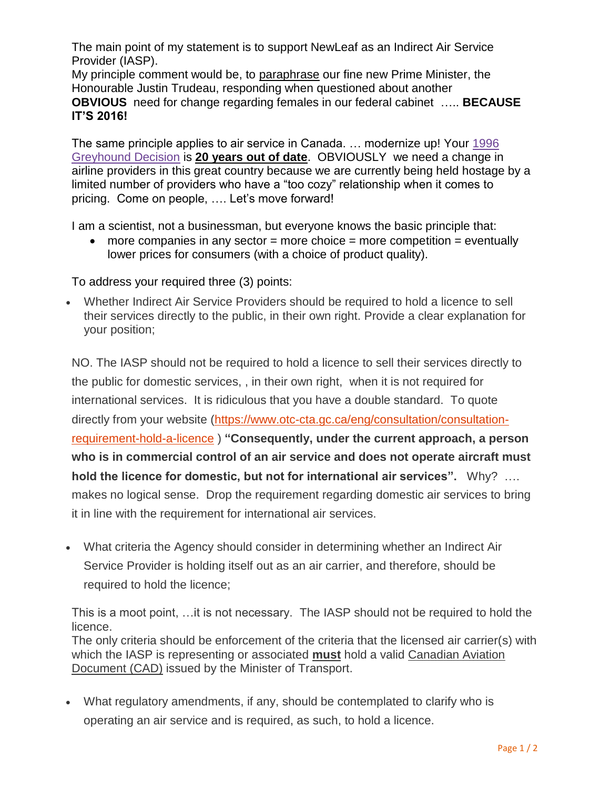The main point of my statement is to support NewLeaf as an Indirect Air Service Provider (IASP).

My principle comment would be, to paraphrase our fine new Prime Minister, the Honourable Justin Trudeau, responding when questioned about another **OBVIOUS** need for change regarding females in our federal cabinet ….. **BECAUSE IT'S 2016!**

The same principle applies to air service in Canada. … modernize up! Your [1996](https://www.otc-cta.gc.ca/eng/ruling/232-a-1996)  [Greyhound Decision](https://www.otc-cta.gc.ca/eng/ruling/232-a-1996) is **20 years out of date**. OBVIOUSLY we need a change in airline providers in this great country because we are currently being held hostage by a limited number of providers who have a "too cozy" relationship when it comes to pricing. Come on people, …. Let's move forward!

I am a scientist, not a businessman, but everyone knows the basic principle that:

• more companies in any sector  $=$  more choice  $=$  more competition  $=$  eventually lower prices for consumers (with a choice of product quality).

To address your required three (3) points:

 Whether Indirect Air Service Providers should be required to hold a licence to sell their services directly to the public, in their own right. Provide a clear explanation for your position;

NO. The IASP should not be required to hold a licence to sell their services directly to the public for domestic services, , in their own right, when it is not required for international services. It is ridiculous that you have a double standard. To quote directly from your website [\(https://www.otc-cta.gc.ca/eng/consultation/consultation](https://www.otc-cta.gc.ca/eng/consultation/consultation-requirement-hold-a-licence)[requirement-hold-a-licence](https://www.otc-cta.gc.ca/eng/consultation/consultation-requirement-hold-a-licence) ) **"Consequently, under the current approach, a person who is in commercial control of an air service and does not operate aircraft must hold the licence for domestic, but not for international air services".** Why? …. makes no logical sense. Drop the requirement regarding domestic air services to bring it in line with the requirement for international air services.

 What criteria the Agency should consider in determining whether an Indirect Air Service Provider is holding itself out as an air carrier, and therefore, should be required to hold the licence;

This is a moot point, …it is not necessary. The IASP should not be required to hold the licence. The only criteria should be enforcement of the criteria that the licensed air carrier(s) with which the IASP is representing or associated **must** hold a valid [Canadian Aviation](http://www.tc.gc.ca/eng/civilaviation/publications/tp8880-chapter1-section3-5193.htm)  [Document \(CAD\)](http://www.tc.gc.ca/eng/civilaviation/publications/tp8880-chapter1-section3-5193.htm) issued by the Minister of Transport.

 What regulatory amendments, if any, should be contemplated to clarify who is operating an air service and is required, as such, to hold a licence.